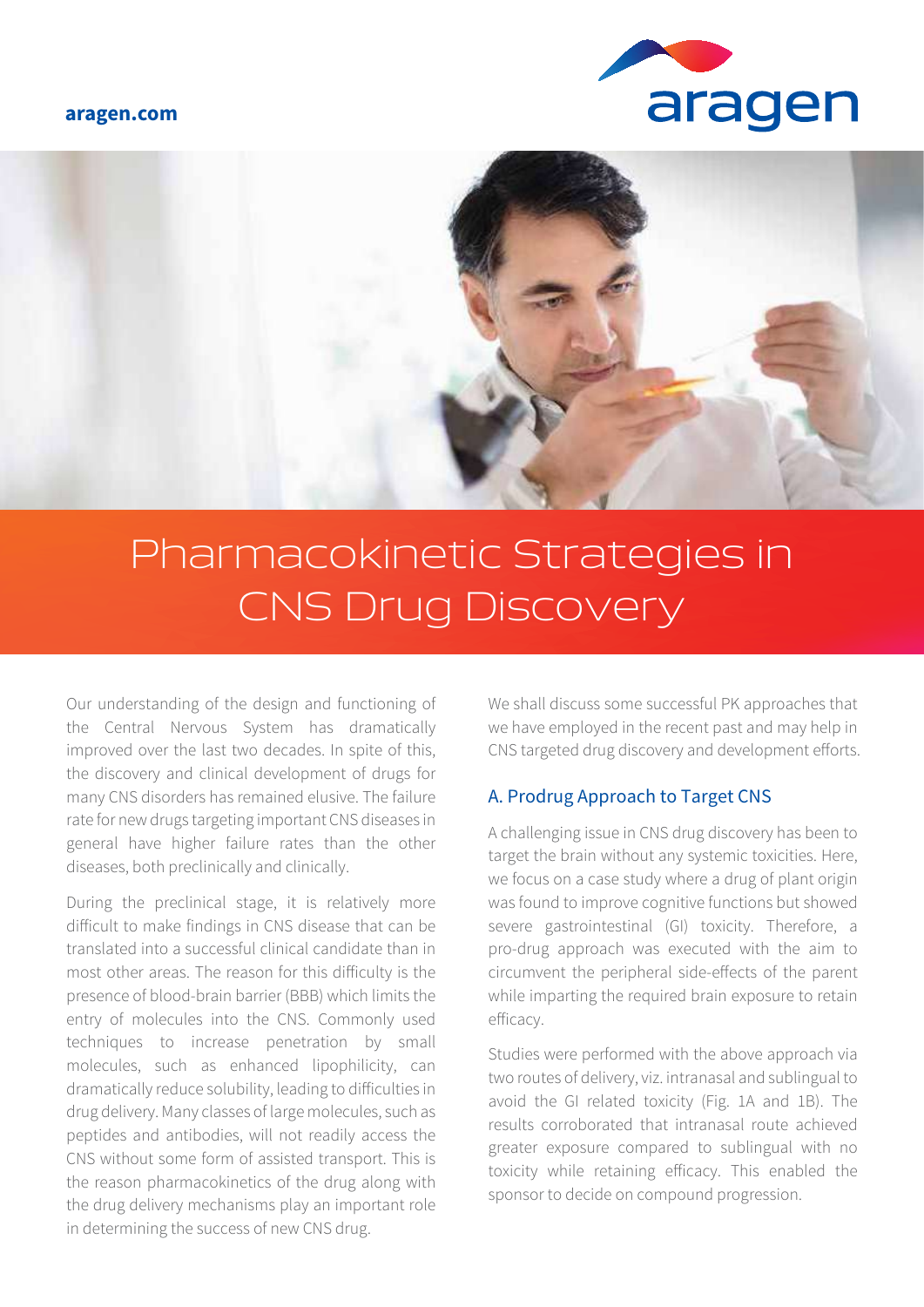#### **aragen.com**





# Pharmacokinetic Strategies in CNS Drug Discovery

Our understanding of the design and functioning of the Central Nervous System has dramatically improved over the last two decades. In spite of this, the discovery and clinical development of drugs for many CNS disorders has remained elusive. The failure rate for new drugs targeting important CNS diseases in general have higher failure rates than the other diseases, both preclinically and clinically.

During the preclinical stage, it is relatively more difficult to make findings in CNS disease that can be translated into a successful clinical candidate than in most other areas. The reason for this difficulty is the presence of blood-brain barrier (BBB) which limits the entry of molecules into the CNS. Commonly used techniques to increase penetration by small molecules, such as enhanced lipophilicity, can dramatically reduce solubility, leading to difficulties in drug delivery. Many classes of large molecules, such as peptides and antibodies, will not readily access the CNS without some form of assisted transport. This is the reason pharmacokinetics of the drug along with the drug delivery mechanisms play an important role in determining the success of new CNS drug.

We shall discuss some successful PK approaches that we have employed in the recent past and may help in CNS targeted drug discovery and development efforts.

#### A. Prodrug Approach to Target CNS

A challenging issue in CNS drug discovery has been to target the brain without any systemic toxicities. Here, we focus on a case study where a drug of plant origin was found to improve cognitive functions but showed severe gastrointestinal (GI) toxicity. Therefore, a pro-drug approach was executed with the aim to circumvent the peripheral side-effects of the parent while imparting the required brain exposure to retain efficacy.

Studies were performed with the above approach via two routes of delivery, viz. intranasal and sublingual to avoid the GI related toxicity (Fig. 1A and 1B). The results corroborated that intranasal route achieved greater exposure compared to sublingual with no toxicity while retaining efficacy. This enabled the sponsor to decide on compound progression.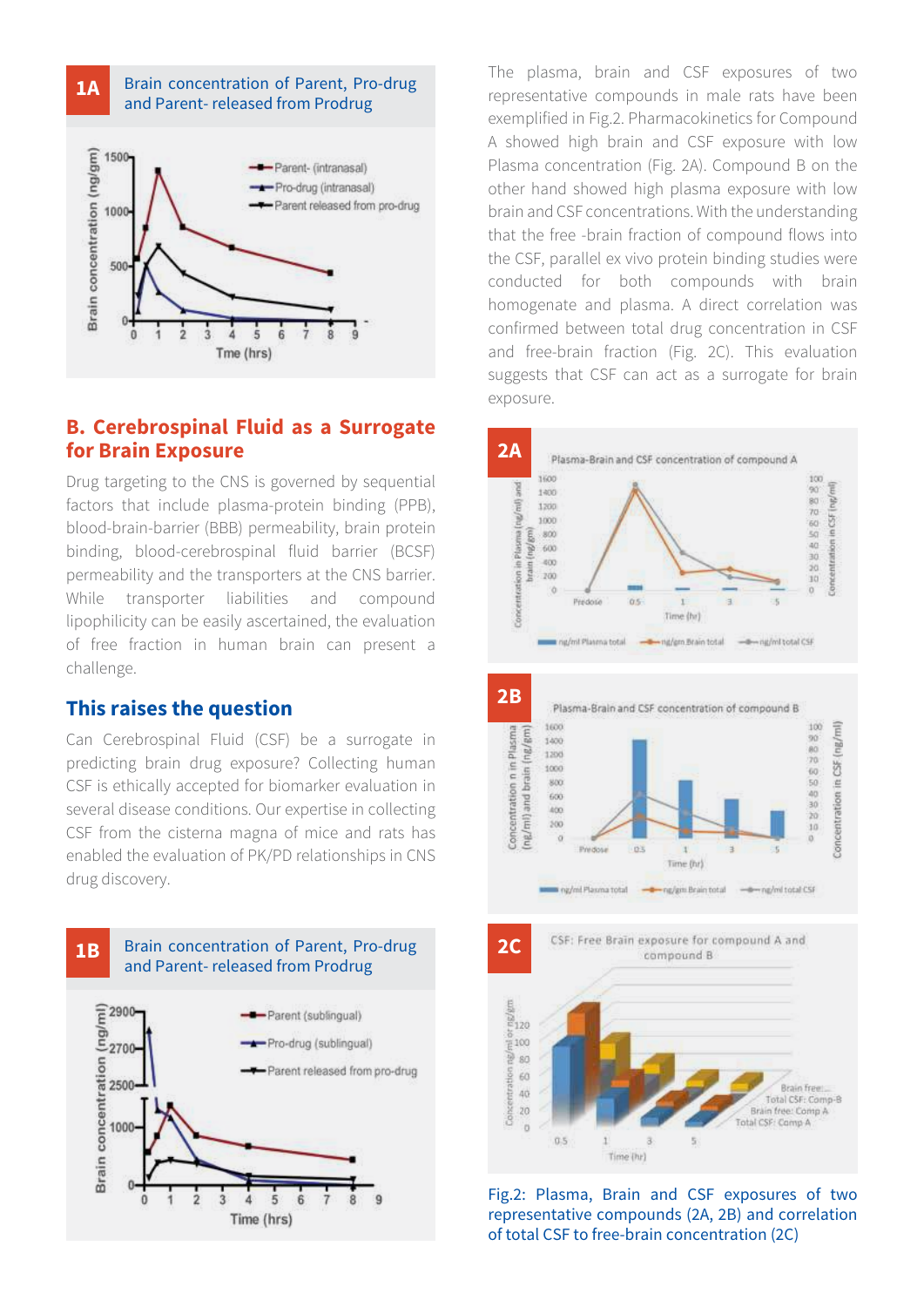

### **B. Cerebrospinal Fluid as a Surrogate for Brain Exposure**

Drug targeting to the CNS is governed by sequential factors that include plasma-protein binding (PPB), blood-brain-barrier (BBB) permeability, brain protein binding, blood-cerebrospinal fluid barrier (BCSF) permeability and the transporters at the CNS barrier. While transporter liabilities and compound lipophilicity can be easily ascertained, the evaluation of free fraction in human brain can present a challenge.

#### **This raises the question**

Can Cerebrospinal Fluid (CSF) be a surrogate in predicting brain drug exposure? Collecting human CSF is ethically accepted for biomarker evaluation in several disease conditions. Our expertise in collecting CSF from the cisterna magna of mice and rats has enabled the evaluation of PK/PD relationships in CNS drug discovery.



The plasma, brain and CSF exposures of two representative compounds in male rats have been exemplified in Fig.2. Pharmacokinetics for Compound A showed high brain and CSF exposure with low Plasma concentration (Fig. 2A). Compound B on the other hand showed high plasma exposure with low brain and CSF concentrations. With the understanding that the free -brain fraction of compound flows into the CSF, parallel ex vivo protein binding studies were conducted for both compounds with brain homogenate and plasma. A direct correlation was confirmed between total drug concentration in CSF and free-brain fraction (Fig. 2C). This evaluation suggests that CSF can act as a surrogate for brain exposure.





Fig.2: Plasma, Brain and CSF exposures of two representative compounds (2A, 2B) and correlation of total CSF to free-brain concentration (2C)